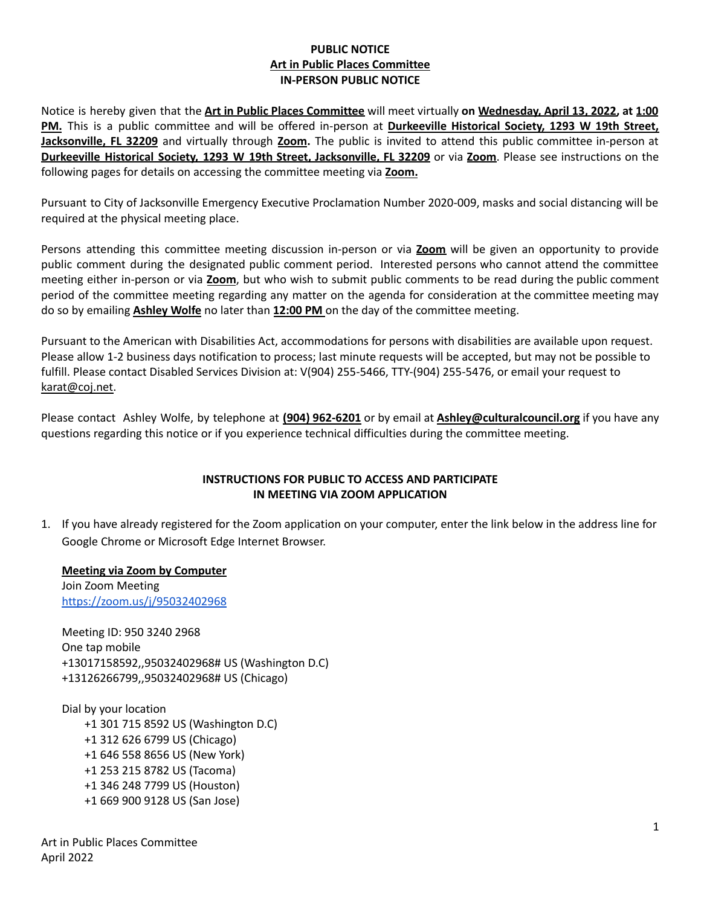### **PUBLIC NOTICE Art in Public Places Committee IN-PERSON PUBLIC NOTICE**

Notice is hereby given that the **Art in Public Places Committee** will meet virtually **on Wednesday, April 13, 2022, at 1:00 PM.** This is a public committee and will be offered in-person at **Durkeeville Historical Society, 1293 W 19th Street, Jacksonville, FL 32209** and virtually through **Zoom.** The public is invited to attend this public committee in-person at **Durkeeville Historical Society, 1293 W 19th Street, Jacksonville, FL 32209** or via **Zoom**. Please see instructions on the following pages for details on accessing the committee meeting via **Zoom.**

Pursuant to City of Jacksonville Emergency Executive Proclamation Number 2020-009, masks and social distancing will be required at the physical meeting place.

Persons attending this committee meeting discussion in-person or via **Zoom** will be given an opportunity to provide public comment during the designated public comment period. Interested persons who cannot attend the committee meeting either in-person or via **Zoom**, but who wish to submit public comments to be read during the public comment period of the committee meeting regarding any matter on the agenda for consideration at the committee meeting may do so by emailing **Ashley Wolfe** no later than **12:00 PM** on the day of the committee meeting.

Pursuant to the American with Disabilities Act, accommodations for persons with disabilities are available upon request. Please allow 1-2 business days notification to process; last minute requests will be accepted, but may not be possible to fulfill. Please contact Disabled Services Division at: V(904) 255-5466, TTY-(904) 255-5476, or email your request to [karat@coj.net.](mailto:karat@coj.net)

Please contact Ashley Wolfe, by telephone at **(904) 962-6201** or by email at **Ashley@culturalcouncil.org** if you have any questions regarding this notice or if you experience technical difficulties during the committee meeting.

#### **INSTRUCTIONS FOR PUBLIC TO ACCESS AND PARTICIPATE IN MEETING VIA ZOOM APPLICATION**

1. If you have already registered for the Zoom application on your computer, enter the link below in the address line for Google Chrome or Microsoft Edge Internet Browser.

**Meeting via Zoom by Computer**

Join Zoom Meeting <https://zoom.us/j/95032402968>

Meeting ID: 950 3240 2968 One tap mobile +13017158592,,95032402968# US (Washington D.C) +13126266799,,95032402968# US (Chicago)

Dial by your location +1 301 715 8592 US (Washington D.C) +1 312 626 6799 US (Chicago) +1 646 558 8656 US (New York) +1 253 215 8782 US (Tacoma) +1 346 248 7799 US (Houston) +1 669 900 9128 US (San Jose)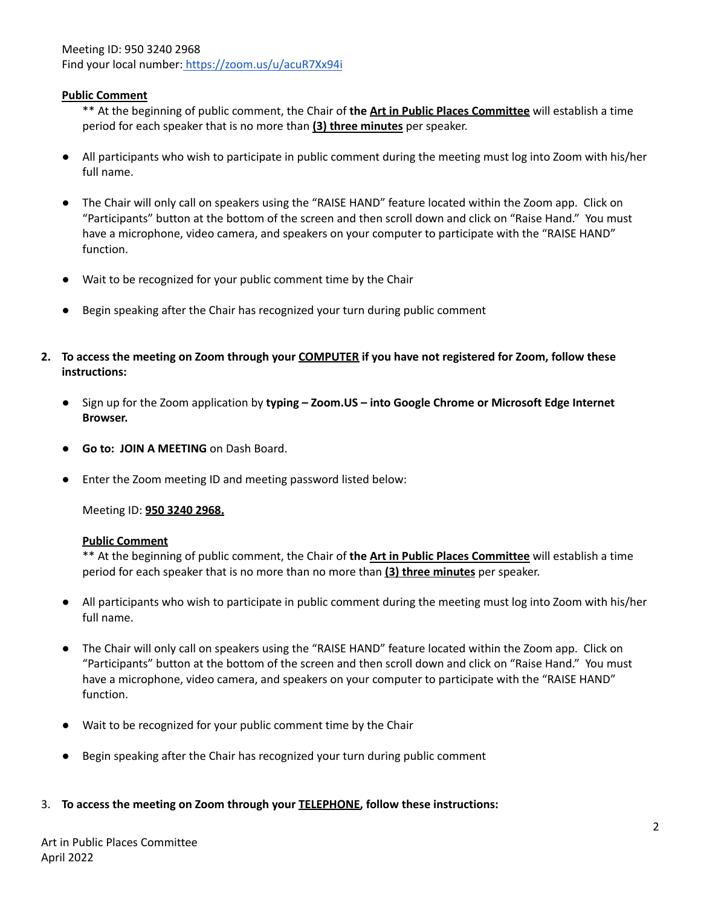Meeting ID: 950 3240 2968 Find your local number: <https://zoom.us/u/acuR7Xx94i>

### **Public Comment**

\*\* At the beginning of public comment, the Chair of **the Art in Public Places Committee** will establish a time period for each speaker that is no more than **(3) three minutes** per speaker.

- All participants who wish to participate in public comment during the meeting must log into Zoom with his/her full name.
- The Chair will only call on speakers using the "RAISE HAND" feature located within the Zoom app. Click on "Participants" button at the bottom of the screen and then scroll down and click on "Raise Hand." You must have a microphone, video camera, and speakers on your computer to participate with the "RAISE HAND" function.
- Wait to be recognized for your public comment time by the Chair
- Begin speaking after the Chair has recognized your turn during public comment
- 2. To access the meeting on Zoom through your COMPUTER if you have not registered for Zoom, follow these **instructions:**
	- **●** Sign up for the Zoom application by **typing – Zoom.US – into Google Chrome or Microsoft Edge Internet Browser.**
	- **Go to: JOIN A MEETING** on Dash Board.
	- Enter the Zoom meeting ID and meeting password listed below:

Meeting ID: **950 3240 2968.**

#### **Public Comment**

\*\* At the beginning of public comment, the Chair of **the Art in Public Places Committee** will establish a time period for each speaker that is no more than no more than **(3) three minutes** per speaker.

- All participants who wish to participate in public comment during the meeting must log into Zoom with his/her full name.
- The Chair will only call on speakers using the "RAISE HAND" feature located within the Zoom app. Click on "Participants" button at the bottom of the screen and then scroll down and click on "Raise Hand." You must have a microphone, video camera, and speakers on your computer to participate with the "RAISE HAND" function.
- Wait to be recognized for your public comment time by the Chair
- Begin speaking after the Chair has recognized your turn during public comment

#### 3. **To access the meeting on Zoom through your TELEPHONE, follow these instructions:**